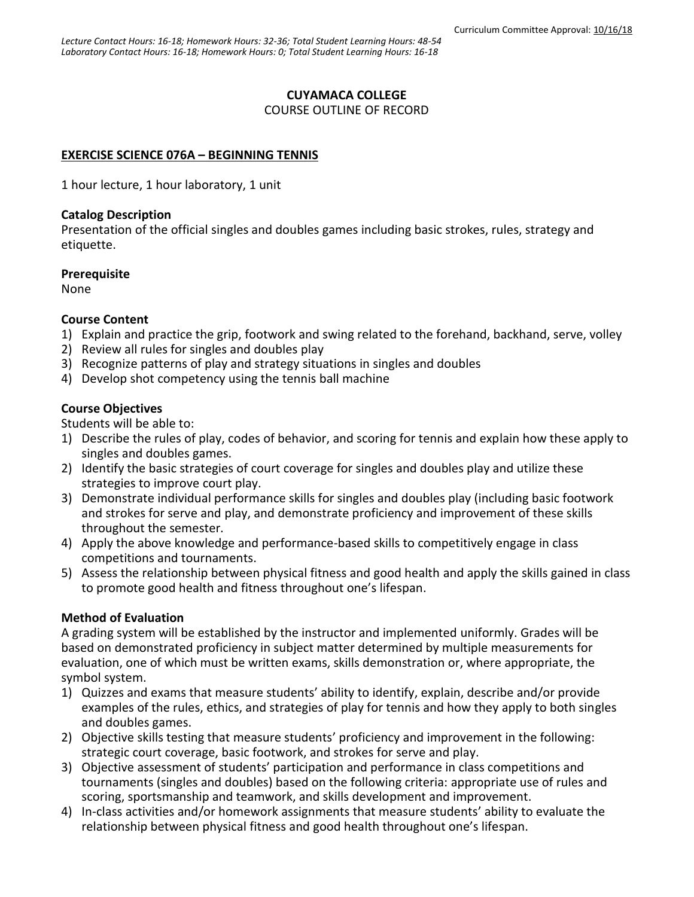## **CUYAMACA COLLEGE**

COURSE OUTLINE OF RECORD

# **EXERCISE SCIENCE 076A – BEGINNING TENNIS**

1 hour lecture, 1 hour laboratory, 1 unit

#### **Catalog Description**

Presentation of the official singles and doubles games including basic strokes, rules, strategy and etiquette.

### **Prerequisite**

None

### **Course Content**

- 1) Explain and practice the grip, footwork and swing related to the forehand, backhand, serve, volley
- 2) Review all rules for singles and doubles play
- 3) Recognize patterns of play and strategy situations in singles and doubles
- 4) Develop shot competency using the tennis ball machine

## **Course Objectives**

Students will be able to:

- 1) Describe the rules of play, codes of behavior, and scoring for tennis and explain how these apply to singles and doubles games.
- 2) Identify the basic strategies of court coverage for singles and doubles play and utilize these strategies to improve court play.
- 3) Demonstrate individual performance skills for singles and doubles play (including basic footwork and strokes for serve and play, and demonstrate proficiency and improvement of these skills throughout the semester.
- 4) Apply the above knowledge and performance-based skills to competitively engage in class competitions and tournaments.
- 5) Assess the relationship between physical fitness and good health and apply the skills gained in class to promote good health and fitness throughout one's lifespan.

### **Method of Evaluation**

A grading system will be established by the instructor and implemented uniformly. Grades will be based on demonstrated proficiency in subject matter determined by multiple measurements for evaluation, one of which must be written exams, skills demonstration or, where appropriate, the symbol system.

- 1) Quizzes and exams that measure students' ability to identify, explain, describe and/or provide examples of the rules, ethics, and strategies of play for tennis and how they apply to both singles and doubles games.
- 2) Objective skills testing that measure students' proficiency and improvement in the following: strategic court coverage, basic footwork, and strokes for serve and play.
- 3) Objective assessment of students' participation and performance in class competitions and tournaments (singles and doubles) based on the following criteria: appropriate use of rules and scoring, sportsmanship and teamwork, and skills development and improvement.
- 4) In-class activities and/or homework assignments that measure students' ability to evaluate the relationship between physical fitness and good health throughout one's lifespan.